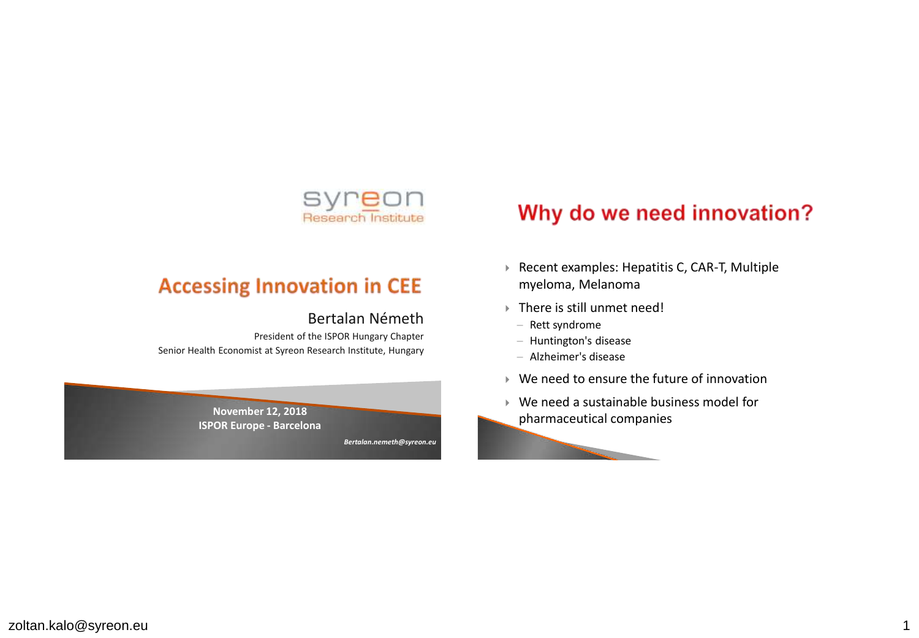

#### **Accessing Innovation in CEE**

#### Bertalan Németh

President of the ISPOR Hungary Chapter Senior Health Economist at Syreon Research Institute, Hungary



## Why do we need innovation?

- ▶ Recent examples: Hepatitis C, CAR-T, Multiple myeloma, Melanoma
- There is still unmet need!
	- Rett syndrome
	- $-$  Huntington's disease
	- Alzheimer's disease
- ▶ We need to ensure the future of innovation
- We need a sustainable business model for pharmaceutical companies

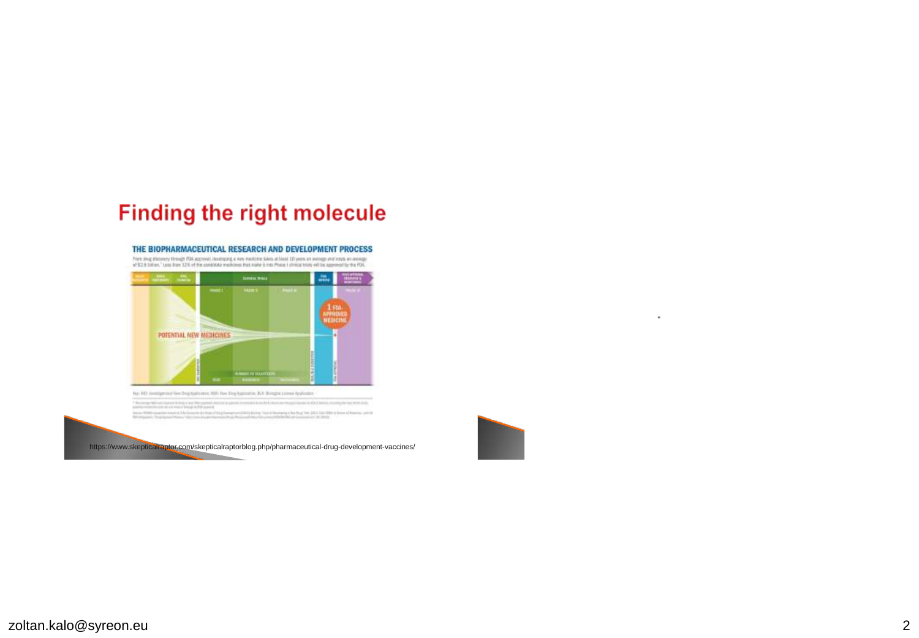#### **Finding the right molecule**



Form and showery through FDA approval, identiquing a row medicine bakes at linest 10 years on instruge and excitation are recruited at the approval to the ATS-C



https://www.skepticalraptor.com/skepticalraptorblog.php/pharmaceutical-drug-development-vaccines/



 $\ddot{\phantom{0}}$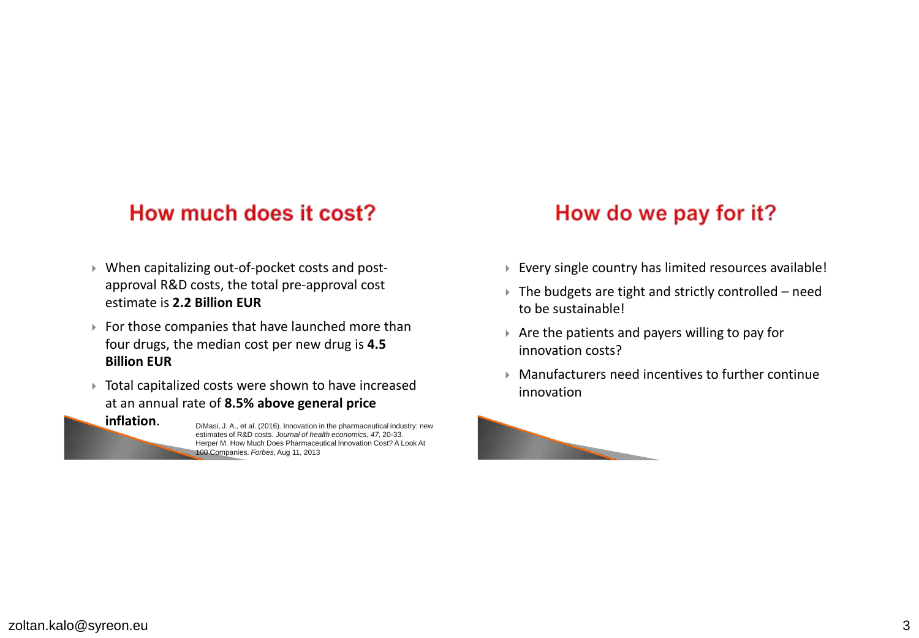#### How much does it cost?

- When capitalizing out-of-pocket costs and postapproval R&D costs, the total pre-approval cost estimate is **2.2 Billion EUR**
- $\triangleright$  For those companies that have launched more than four drugs, the median cost per new drug is **4.5 Billion EUR**
- Total capitalized costs were shown to have increased at an annual rate of **8.5% above general price**

**inflation.** DiMasi, J. A., et al. (2016). Innovation in the pharmaceutical industry: new estimates of R&D costs. *Journal of health economics*, *47*, 20-33. Herper M. How Much Does Pharmaceutical Innovation Cost? A Look At 100 Companies. *Forbes*, Aug 11, 2013

#### How do we pay for it?

- Every single country has limited resources available!
- $\triangleright$  The budgets are tight and strictly controlled need to be sustainable!
- $\triangleright$  Are the patients and payers willing to pay for innovation costs?
- Manufacturers need incentives to further continue innovation

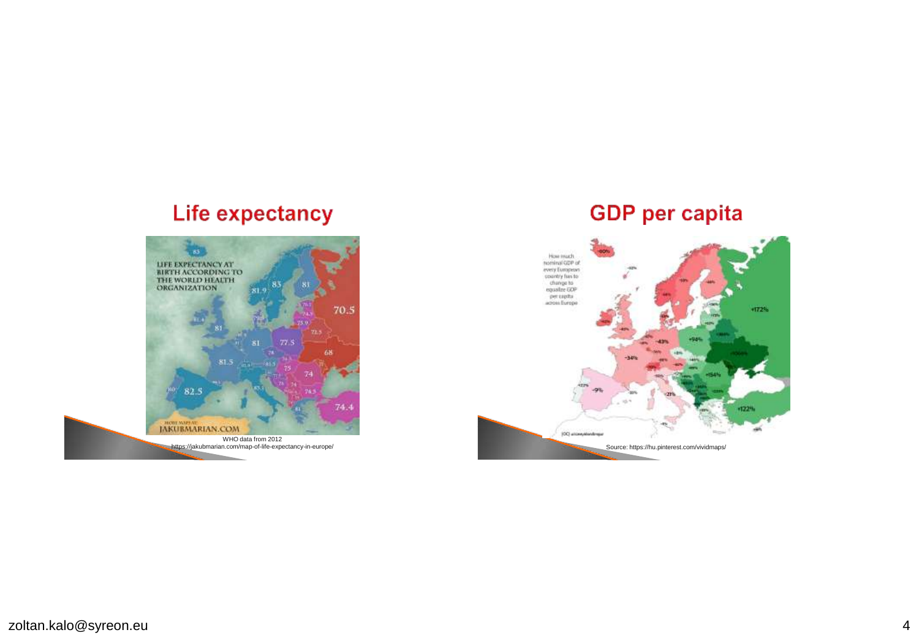# **Life expectancy**



#### **GDP** per capita

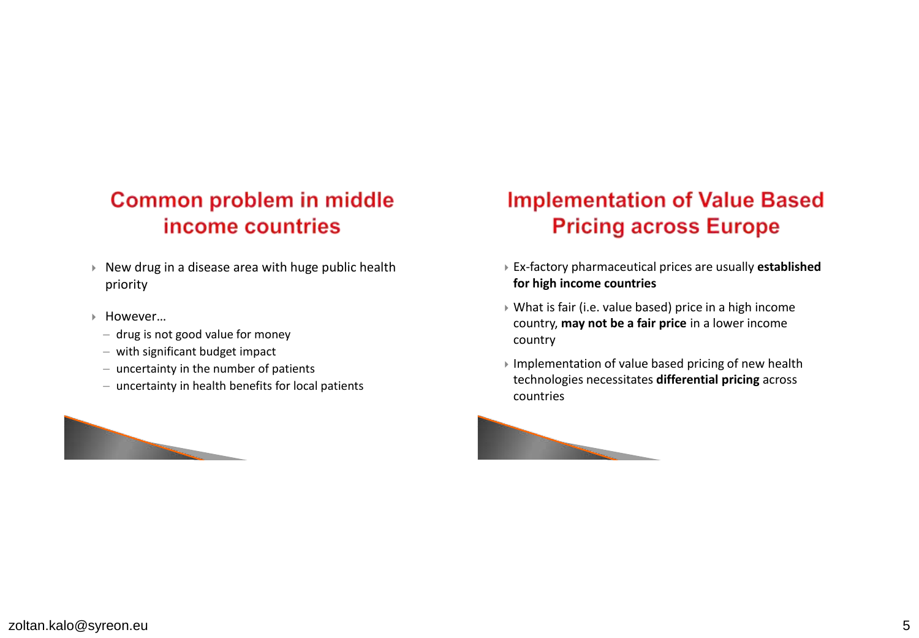## **Common problem in middle** income countries

- $\triangleright$  New drug in a disease area with huge public health priority
- However…
	- ─ drug is not good value for money
	- ─ with significant budget impact
	- ─ uncertainty in the number of patients
	- ─ uncertainty in health benefits for local patients



# **Implementation of Value Based Pricing across Europe**

- Ex-factory pharmaceutical prices are usually **established for high income countries**
- What is fair (i.e. value based) price in a high income country, **may not be a fair price** in a lower income country
- $\triangleright$  Implementation of value based pricing of new health technologies necessitates **differential pricing** across countries

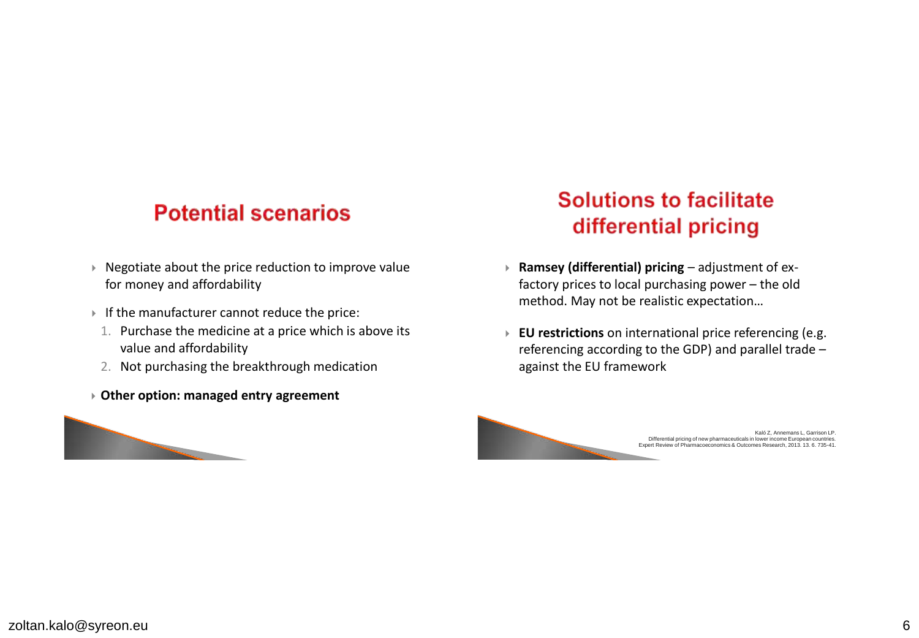#### **Potential scenarios**

- $\triangleright$  Negotiate about the price reduction to improve value for money and affordability
- If the manufacturer cannot reduce the price:
	- 1. Purchase the medicine at a price which is above its value and affordability
	- 2. Not purchasing the breakthrough medication
- **Other option: managed entry agreement**



# **Solutions to facilitate** differential pricing

- **Ramsey (differential) pricing**  adjustment of exfactory prices to local purchasing power – the old method. May not be realistic expectation…
- **EU restrictions** on international price referencing (e.g. referencing according to the GDP) and parallel trade – against the EU framework

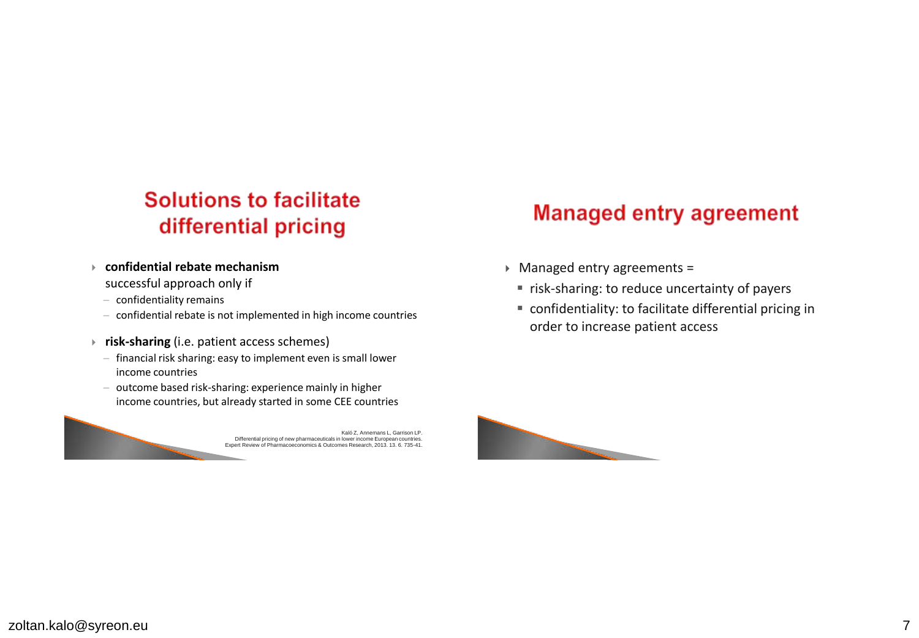# **Solutions to facilitate** differential pricing

- **confidential rebate mechanism** 
	- successful approach only if
	- $-$  confidentiality remains
	- $-$  confidential rebate is not implemented in high income countries
- **risk-sharing** (i.e. patient access schemes)
	- $-$  financial risk sharing: easy to implement even is small lower income countries
	- $-$  outcome based risk-sharing: experience mainly in higher income countries, but already started in some CEE countries



# **Managed entry agreement**

- Managed entry agreements =
	- **F** risk-sharing: to reduce uncertainty of payers
	- confidentiality: to facilitate differential pricing in order to increase patient access

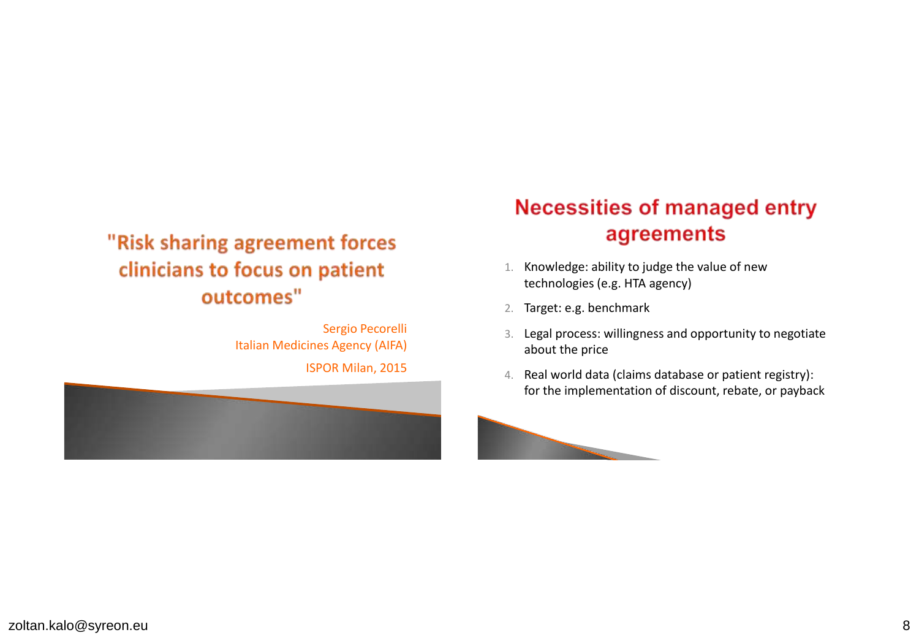## "Risk sharing agreement forces clinicians to focus on patient outcomes"

Sergio Pecorelli Italian Medicines Agency (AIFA) ISPOR Milan, 2015



# **Necessities of managed entry** agreements

- 1. Knowledge: ability to judge the value of new technologies (e.g. HTA agency)
- 2. Target: e.g. benchmark
- 3. Legal process: willingness and opportunity to negotiate about the price
- 4. Real world data (claims database or patient registry): for the implementation of discount, rebate, or payback